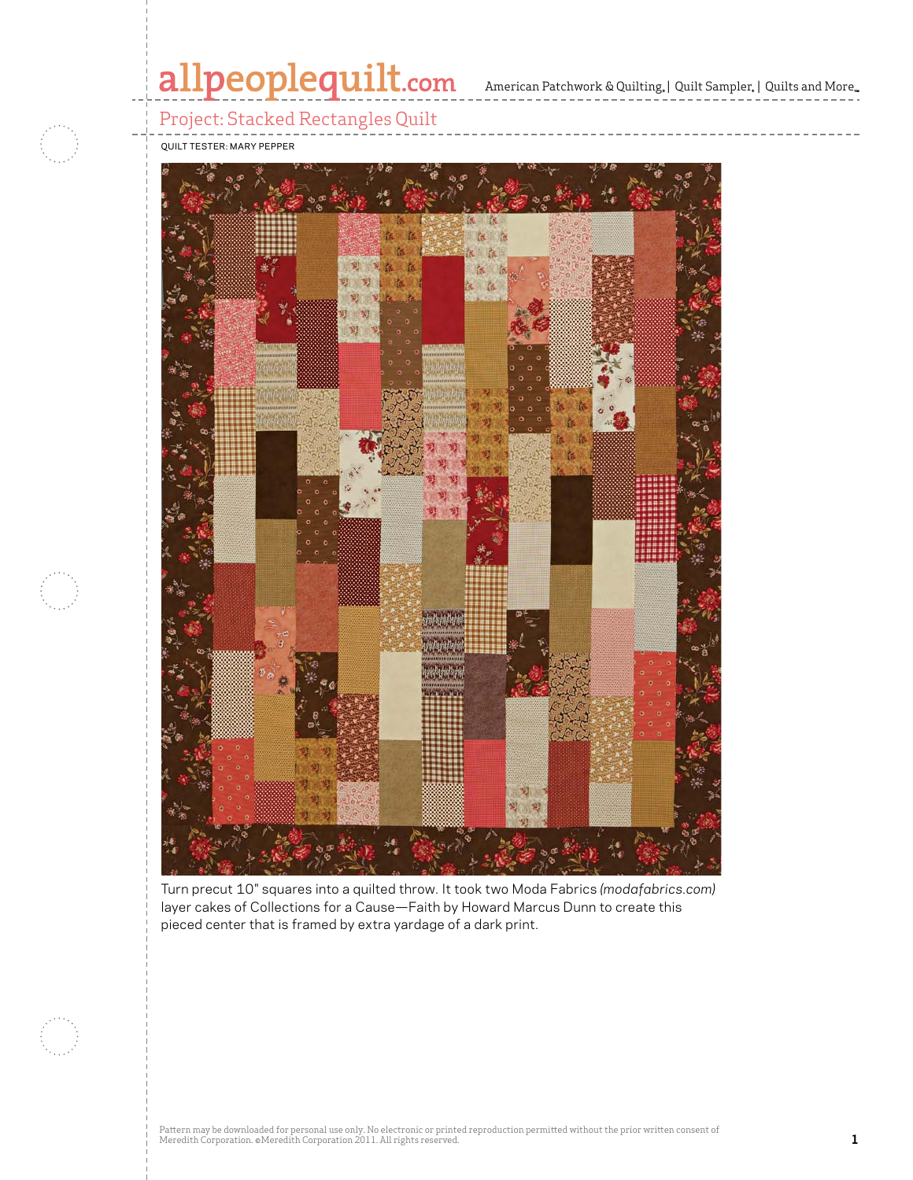# allpeoplequilt.com<br>american Patchwork & Quilting, | Quilt Sampler, | Quilts and More...

Project: Stacked Rectangles Quilt







Turn precut 10" squares into a quilted throw. It took two Moda Fabrics *(modafabrics.com)* layer cakes of Collections for a Cause—Faith by Howard Marcus Dunn to create this pieced center that is framed by extra yardage of a dark print.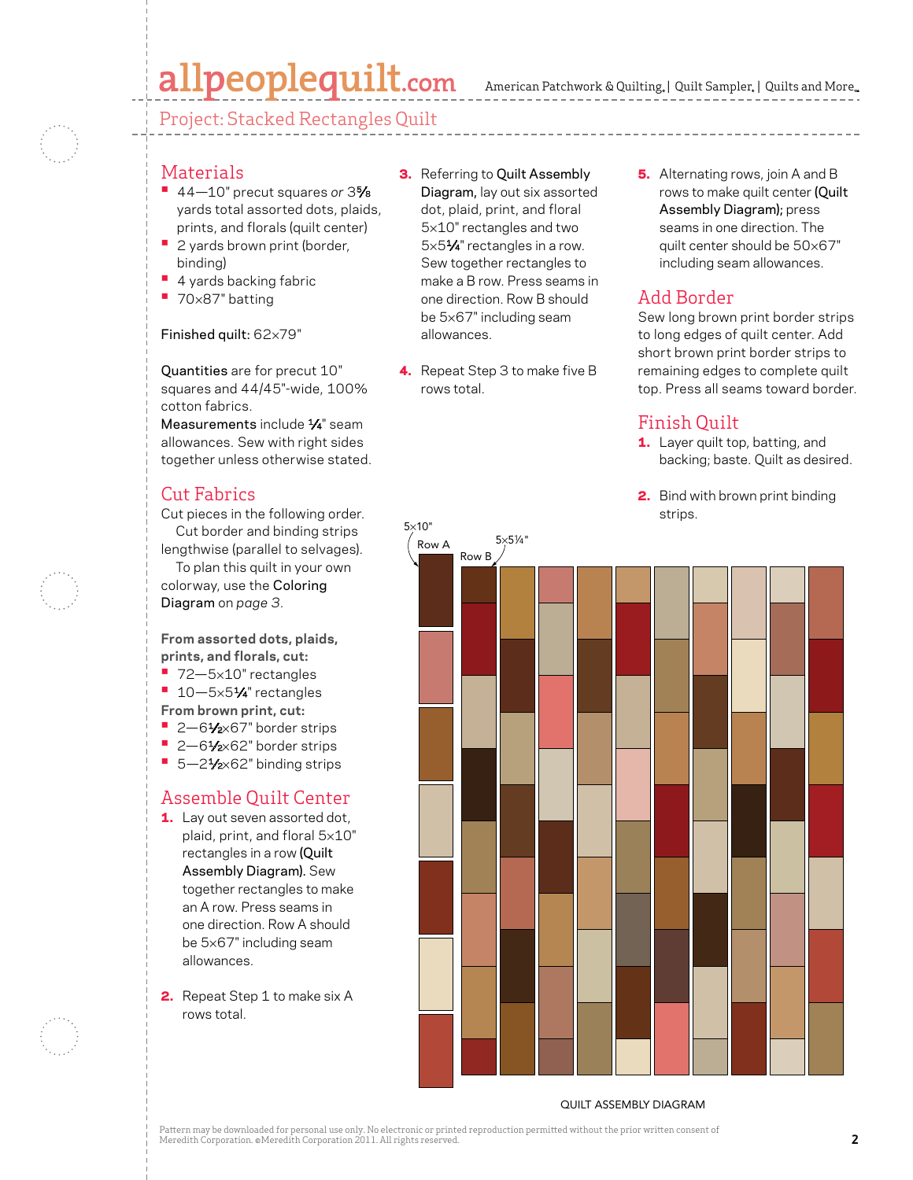# allpeoplequilt.com

Project: Stacked Rectangles Quilt



#### **Materials**

- **•**  44—10" precut squares *or* 35⁄8 yards total assorted dots, plaids, prints, and florals (quilt center)
- 2 yards brown print (border, binding)
- **•**  4 yards backing fabric
- **•**  <sup>70</sup>×87" batting

#### Finished quilt: 62×79"

Quantities are for precut 10" squares and 44/45"-wide, 100% cotton fabrics.

Measurements include  $\frac{1}{4}$ " seam allowances. Sew with right sides together unless otherwise stated.

### Cut Fabrics

Cut pieces in the following order. Cut border and binding strips lengthwise (parallel to selvages).

To plan this quilt in your own colorway, use the Coloring Diagram on *page 3*.

**From assorted dots, plaids, prints, and florals, cut:**

- **•**  72—5×10" rectangles
- <sup>•</sup> 10-5×51⁄4" rectangles
- **From brown print, cut:**
- **•**  2—61⁄2×67" border strips
- 2-61⁄2×62" border strips
- 5-21⁄2×62" binding strips

## Assemble Quilt Center

- 1. Lay out seven assorted dot, plaid, print, and floral 5×10" rectangles in a row (Quilt Assembly Diagram). Sew together rectangles to make an A row. Press seams in one direction. Row A should be 5×67" including seam allowances.
- **2.** Repeat Step 1 to make six A rows total.
- **3.** Referring to Quilt Assembly Diagram, lay out six assorted dot, plaid, print, and floral 5×10" rectangles and two 5×51⁄4" rectangles in a row. Sew together rectangles to make a B row. Press seams in one direction. Row B should be 5×67" including seam allowances.
- 4. Repeat Step 3 to make five B rows total.
- **5.** Alternating rows, join A and B rows to make quilt center (Quilt Assembly Diagram); press seams in one direction. The quilt center should be 50×67" including seam allowances.

## Add Border

Sew long brown print border strips to long edges of quilt center. Add short brown print border strips to remaining edges to complete quilt top. Press all seams toward border.  $\mathsf{DS}$  and  $\mathsf{DS}$ 

### Finish Quilt

- 1. Layer quilt top, batting, and backing; baste. Quilt as desired.
- 2. Bind with brown print binding strips.



#### QUILT ASSEMBLY DIAGRAM